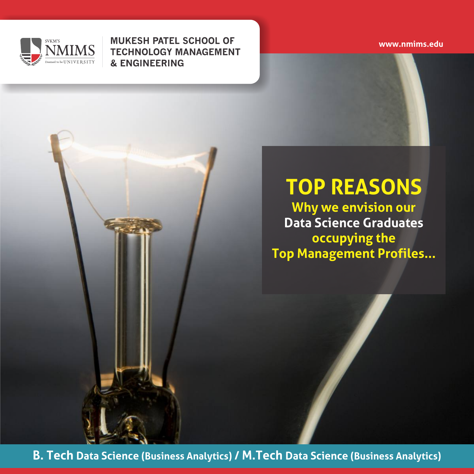

**MUKESH PATEL SCHOOL OF TECHNOLOGY MANAGEMENT & ENGINEERING** 

**www.nmims.edu**

## **TOP REASONS**

**Why we envision our Data Science Graduates occupying the Top Management Profiles...**

**B. Tech Data Science (Business Analytics) / M.Tech Data Science (Business Analytics)**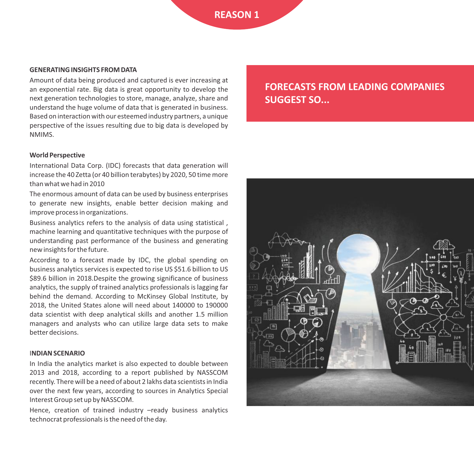#### **GENERATING INSIGHTS FROM DATA**

Amount of data being produced and captured is ever increasing at an exponential rate. Big data is great opportunity to develop the next generation technologies to store, manage, analyze, share and understand the huge volume of data that is generated in business. Based on interaction with our esteemed industry partners, a unique perspective of the issues resulting due to big data is developed by NMIMS.

#### **World Perspective**

International Data Corp. (IDC) forecasts that data generation will increase the 40 Zetta (or 40 billion terabytes) by 2020, 50 time more than what we had in 2010

The enormous amount of data can be used by business enterprises to generate new insights, enable better decision making and improve process in organizations.

Business analytics refers to the analysis of data using statistical , machine learning and quantitative techniques with the purpose of understanding past performance of the business and generating new insights for the future.

According to a forecast made by IDC, the global spending on business analytics services is expected to rise US \$51.6 billion to US \$89.6 billion in 2018.Despite the growing significance of business analytics, the supply of trained analytics professionals is lagging far behind the demand. According to McKinsey Global Institute, by 2018, the United States alone will need about 140000 to 190000 data scientist with deep analytical skills and another 1.5 million managers and analysts who can utilize large data sets to make better decisions.

#### I**NDIAN SCENARIO**

In India the analytics market is also expected to double between 2013 and 2018, according to a report published by NASSCOM recently. There will be a need of about 2 lakhs data scientists in India over the next few years, according to sources in Analytics Special Interest Group set up by NASSCOM.

Hence, creation of trained industry -ready business analytics technocrat professionals is the need of the day.

**FORECASTS FROM LEADING COMPANIES SUGGEST SO...**

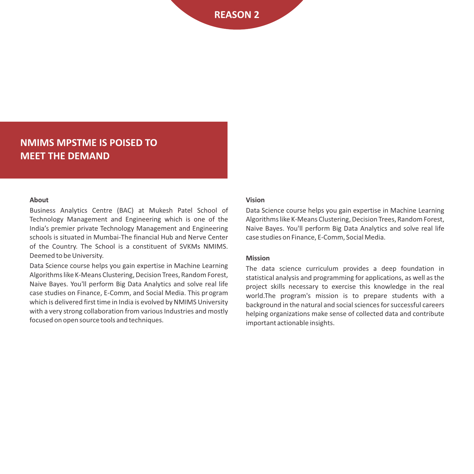#### **NMIMS MPSTME IS POISED TO MEET THE DEMAND**

#### **About**

Business Analytics Centre (BAC) at Mukesh Patel School of Technology Management and Engineering which is one of the India's premier private Technology Management and Engineering schools is situated in Mumbai‐The financial Hub and Nerve Center of the Country. The School is a constituent of SVKMs NMIMS. Deemed to be University.

Data Science course helps you gain expertise in Machine Learning Algorithms like K‐Means Clustering, Decision Trees, Random Forest, Naive Bayes. You'll perform Big Data Analytics and solve real life case studies on Finance, E‐Comm, and Social Media. This program which is delivered first time in India is evolved by NMIMS University with a very strong collaboration from various Industries and mostly focused on open source tools and techniques.

#### **Vision**

Data Science course helps you gain expertise in Machine Learning Algorithms like K‐Means Clustering, Decision Trees, Random Forest, Naive Bayes. You'll perform Big Data Analytics and solve real life case studies on Finance, E‐Comm, Social Media.

#### **Mission**

The data science curriculum provides a deep foundation in statistical analysis and programming for applications, as well as the project skills necessary to exercise this knowledge in the real world.The program's mission is to prepare students with a background in the natural and social sciences for successful careers helping organizations make sense of collected data and contribute important actionable insights.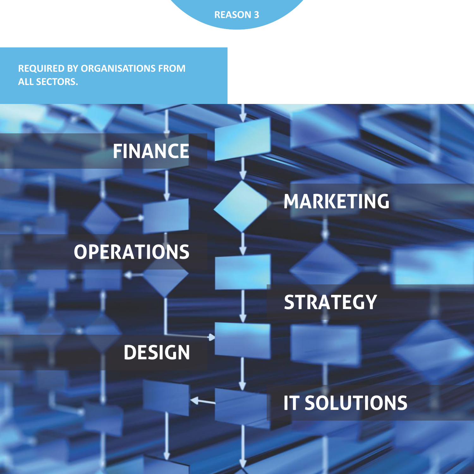**REQUIRED BY ORGANISATIONS FROM ALL SECTORS.**

## **FINANCE**

## **OPERATIONS**

# **MARKETING**

## **STRATEGY**

## **DESIGN**

## **IT SOLUTIONS**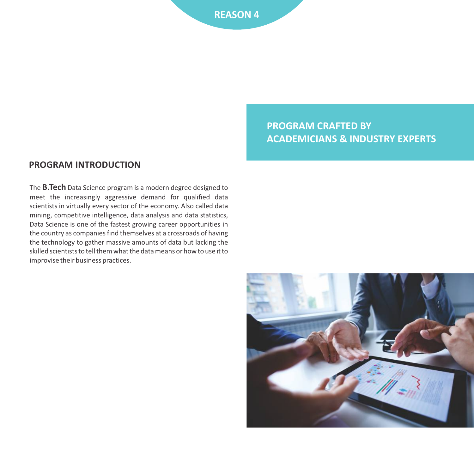#### **PROGRAM CRAFTED BY ACADEMICIANS & INDUSTRY EXPERTS**

#### **PROGRAM INTRODUCTION**

The **B.Tech** Data Science program is a modern degree designed to meet the increasingly aggressive demand for qualified data scientists in virtually every sector of the economy. Also called data mining, competitive intelligence, data analysis and data statistics, Data Science is one of the fastest growing career opportunities in the country as companies find themselves at a crossroads of having the technology to gather massive amounts of data but lacking the skilled scientists to tell them what the data means or how to use it to improvise their business practices.

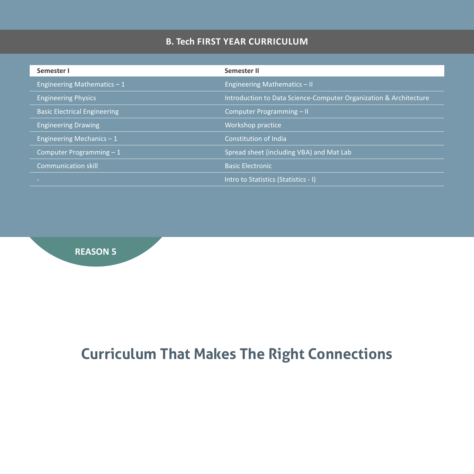#### **B. Tech FIRST YEAR CURRICULUM**

| Semester I                          | Semester II                                                       |
|-------------------------------------|-------------------------------------------------------------------|
| Engineering Mathematics $-1$        | Engineering Mathematics $-$ II                                    |
| <b>Engineering Physics</b>          | Introduction to Data Science-Computer Organization & Architecture |
| <b>Basic Electrical Engineering</b> | Computer Programming - II                                         |
| <b>Engineering Drawing</b>          | Workshop practice                                                 |
| Engineering Mechanics $-1$          | Constitution of India                                             |
| Computer Programming $-1$           | Spread sheet (including VBA) and Mat Lab                          |
| <b>Communication skill</b>          | <b>Basic Electronic</b>                                           |
|                                     | Intro to Statistics (Statistics - I)                              |



## **Curriculum That Makes The Right Connections**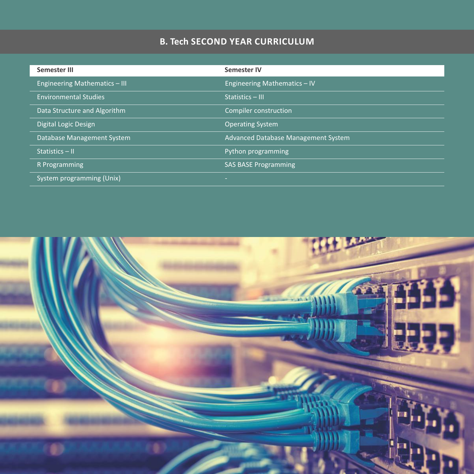#### **B. Tech SECOND YEAR CURRICULUM**

| Semester III                  | <b>Semester IV</b>                  |
|-------------------------------|-------------------------------------|
| Engineering Mathematics - III | Engineering Mathematics - IV        |
| <b>Environmental Studies</b>  | Statistics - III                    |
| Data Structure and Algorithm  | Compiler construction               |
| Digital Logic Design          | <b>Operating System</b>             |
| Database Management System    | Advanced Database Management System |
| Statistics - II               | Python programming                  |
| R Programming                 | <b>SAS BASE Programming</b>         |
| System programming (Unix)     | -                                   |

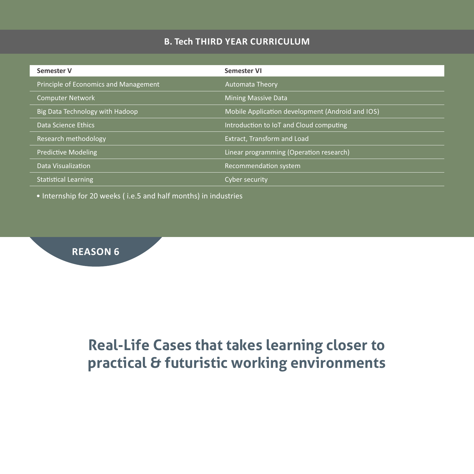#### **B. Tech THIRD YEAR CURRICULUM**

| <b>Semester V</b>                            | Semester VI                                      |
|----------------------------------------------|--------------------------------------------------|
| <b>Principle of Economics and Management</b> | <b>Automata Theory</b>                           |
| <b>Computer Network</b>                      | <b>Mining Massive Data</b>                       |
| Big Data Technology with Hadoop              | Mobile Application development (Android and IOS) |
| Data Science Ethics                          | Introduction to IoT and Cloud computing          |
| Research methodology                         | Extract, Transform and Load                      |
| <b>Predictive Modeling</b>                   | Linear programming (Operation research)          |
| Data Visualization                           | Recommendation system                            |
| <b>Statistical Learning</b>                  | Cyber security                                   |

• Internship for 20 weeks ( i.e.5 and half months) in industries

#### **REASON 6**

### **Real-Life Cases that takes learning closer to practical & futuristic working environments**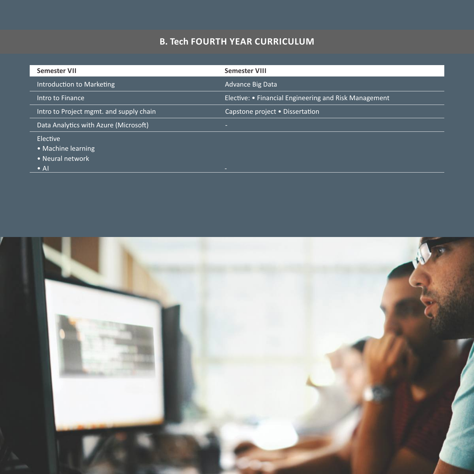#### **B. Tech FOURTH YEAR CURRICULUM**

| <b>Semester VII</b>                     | <b>Semester VIII</b>                                  |
|-----------------------------------------|-------------------------------------------------------|
| Introduction to Marketing               | Advance Big Data                                      |
| Intro to Finance                        | Elective: • Financial Engineering and Risk Management |
| Intro to Project mgmt. and supply chain | Capstone project • Dissertation                       |
| Data Analytics with Azure (Microsoft)   |                                                       |
| Elective                                |                                                       |
| • Machine learning                      |                                                       |
| • Neural network                        |                                                       |
| $\bullet$ Al                            | -                                                     |

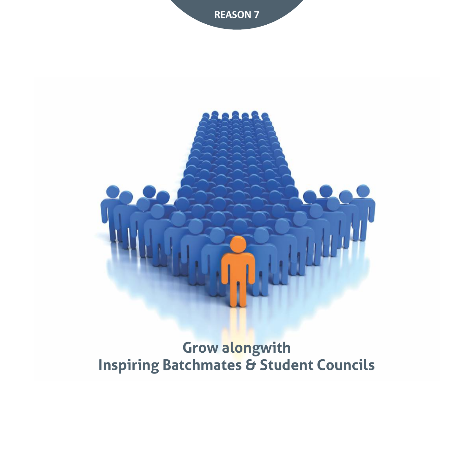



### **Grow alongwith Inspiring Batchmates & Student Councils**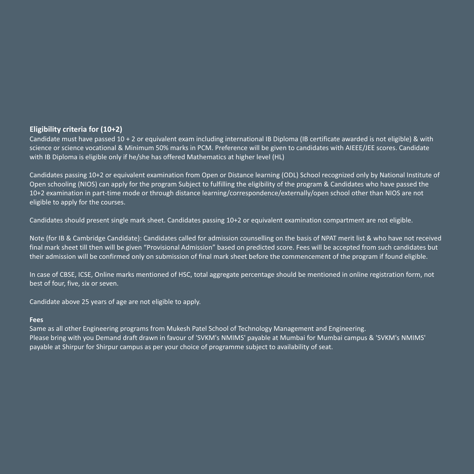#### **Eligibility criteria for (10+2)**

Candidate must have passed 10 + 2 or equivalent exam including international IB Diploma (IB certificate awarded is not eligible) & with science or science vocational & Minimum 50% marks in PCM. Preference will be given to candidates with AIEEE/JEE scores. Candidate with IB Diploma is eligible only if he/she has offered Mathematics at higher level (HL)

Candidates passing 10+2 or equivalent examination from Open or Distance learning (ODL) School recognized only by National Institute of Open schooling (NIOS) can apply for the program Subject to fulfilling the eligibility of the program & Candidates who have passed the 10+2 examination in part‐time mode or through distance learning/correspondence/externally/open school other than NIOS are not eligible to apply for the courses.

Candidates should present single mark sheet. Candidates passing 10+2 or equivalent examination compartment are not eligible.

Note (for IB & Cambridge Candidate): Candidates called for admission counselling on the basis of NPAT merit list & who have not received final mark sheet till then will be given "Provisional Admission" based on predicted score. Fees will be accepted from such candidates but their admission will be confirmed only on submission of final mark sheet before the commencement of the program if found eligible.

In case of CBSE, ICSE, Online marks mentioned of HSC, total aggregate percentage should be mentioned in online registration form, not best of four, five, six or seven.

Candidate above 25 years of age are not eligible to apply.

#### **Fees**

Same as all other Engineering programs from Mukesh Patel School of Technology Management and Engineering. Please bring with you Demand draft drawn in favour of 'SVKM's NMIMS' payable at Mumbai for Mumbai campus & 'SVKM's NMIMS' payable at Shirpur for Shirpur campus as per your choice of programme subject to availability of seat.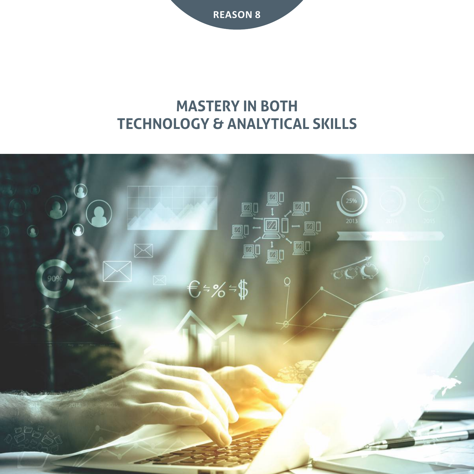### **MASTERY IN BOTH TECHNOLOGY & ANALYTICAL SKILLS**

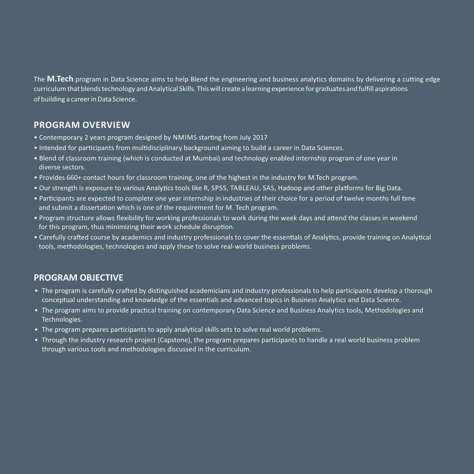The **M.Tech** program in Data Science aims to help Blend the engineering and business analytics domains by delivering a cutting edge curriculum that blends technology and Analytical Skills. This will create a learning experience for graduates and fulfill aspirations of building a career in Data Science.

#### **PROGRAM OVERVIEW**

- Contemporary 2 years program designed by NMIMS starting from July 2017
- Intended for participants from multidisciplinary background aiming to build a career in Data Sciences.
- Blend of classroom training (which is conducted at Mumbai) and technology enabled internship program of one year in diverse sectors.
- Provides 660+ contact hours for classroom training, one of the highest in the industry for M.Tech program.
- Our strength is exposure to various Analytics tools like R, SPSS, TABLEAU, SAS, Hadoop and other platforms for Big Data.
- Participants are expected to complete one year internship in industries of their choice for a period of twelve months full time and submit a dissertation which is one of the requirement for M. Tech program.
- Program structure allows flexibility for working professionals to work during the week days and attend the classes in weekend for this program, thus minimizing their work schedule disruption.
- Carefully crafted course by academics and industry professionals to cover the essentials of Analytics, provide training on Analytical tools, methodologies, technologies and apply these to solve real‐world business problems.

#### **PROGRAM OBJECTIVE**

- The program is carefully crafted by distinguished academicians and industry professionals to help participants develop a thorough conceptual understanding and knowledge of the essentials and advanced topics in Business Analytics and Data Science.
- The program aims to provide practical training on contemporary Data Science and Business Analytics tools, Methodologies and Technologies.
- The program prepares participants to apply analytical skills sets to solve real world problems.
- Through the industry research project (Capstone), the program prepares participants to handle a real world business problem through various tools and methodologies discussed in the curriculum.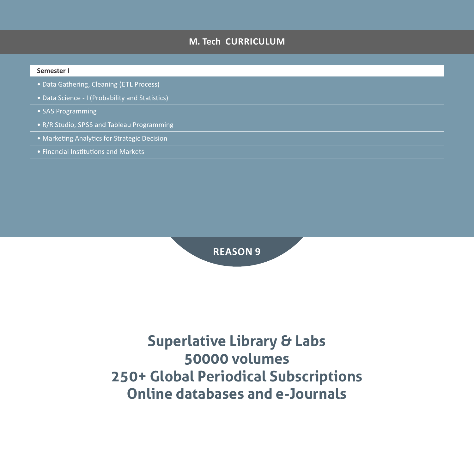#### **M. Tech CURRICULUM**

#### **Semester I**

- Data Gathering, Cleaning (ETL Process)
- Data Science I (Probability and Statistics)
- SAS Programming
- R/R Studio, SPSS and Tableau Programming
- Marketing Analytics for Strategic Decision
- Financial Institutions and Markets



### **Superlative Library & Labs 50000 volumes 250+ Global Periodical Subscriptions Online databases and e-Journals**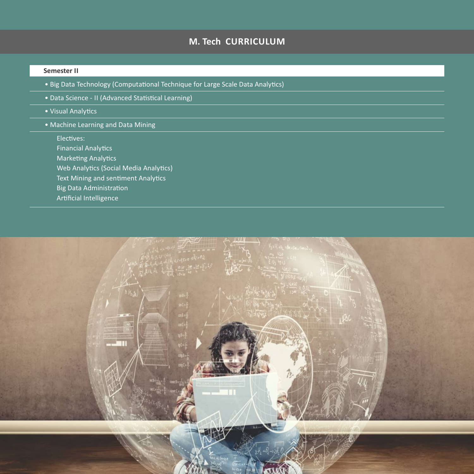#### **M. Tech CURRICULUM**

#### **Semester II**

- Big Data Technology (Computational Technique for Large Scale Data Analytics)
- Data Science II (Advanced Statistical Learning)
- Visual Analytics
- Machine Learning and Data Mining

Electives: Financial Analytics Marketing Analytics Web Analytics (Social Media Analytics) Text Mining and sentiment Analytics Big Data Administration Artificial Intelligence

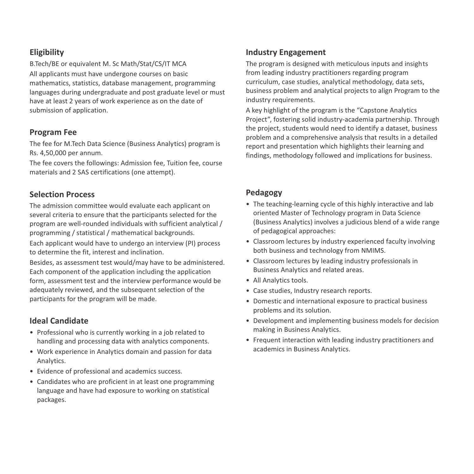#### **Eligibility**

B.Tech/BE or equivalent M. Sc Math/Stat/CS/IT MCA

All applicants must have undergone courses on basic mathematics, statistics, database management, programming languages during undergraduate and post graduate level or must have at least 2 years of work experience as on the date of submission of application.

#### **Program Fee**

The fee for M.Tech Data Science (Business Analytics) program is Rs. 4,50,000 per annum.

The fee covers the followings: Admission fee, Tuition fee, course materials and 2 SAS certifications (one attempt).

#### **Selection Process**

The admission committee would evaluate each applicant on several criteria to ensure that the participants selected for the program are well‐rounded individuals with sufficient analytical / programming / statistical / mathematical backgrounds.

Each applicant would have to undergo an interview (PI) process to determine the fit, interest and inclination.

Besides, as assessment test would/may have to be administered. Each component of the application including the application form, assessment test and the interview performance would be adequately reviewed, and the subsequent selection of the participants for the program will be made.

#### **Ideal Candidate**

- Professional who is currently working in a job related to handling and processing data with analytics components.
- Work experience in Analytics domain and passion for data Analytics.
- Evidence of professional and academics success.
- Candidates who are proficient in at least one programming language and have had exposure to working on statistical packages.

#### **Industry Engagement**

The program is designed with meticulous inputs and insights from leading industry practitioners regarding program curriculum, case studies, analytical methodology, data sets, business problem and analytical projects to align Program to the industry requirements.

A key highlight of the program is the "Capstone Analytics Project", fostering solid industry‐academia partnership. Through the project, students would need to identify a dataset, business problem and a comprehensive analysis that results in a detailed report and presentation which highlights their learning and findings, methodology followed and implications for business.

#### **Pedagogy**

- The teaching-learning cycle of this highly interactive and lab oriented Master of Technology program in Data Science (Business Analytics) involves a judicious blend of a wide range of pedagogical approaches:
- Classroom lectures by industry experienced faculty involving both business and technology from NMIMS.
- Classroom lectures by leading industry professionals in Business Analytics and related areas.
- All Analytics tools.
- Case studies, Industry research reports.
- Domestic and international exposure to practical business problems and its solution.
- Development and implementing business models for decision making in Business Analytics.
- Frequent interaction with leading industry practitioners and academics in Business Analytics.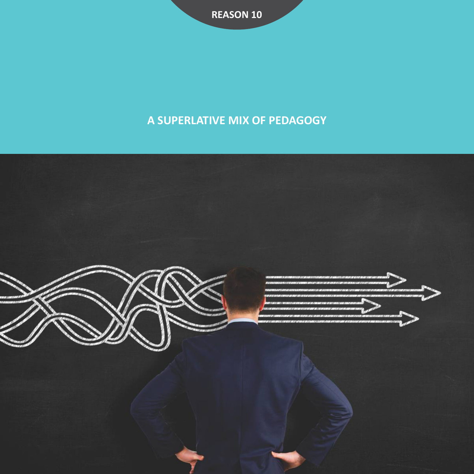### **A SUPERLATIVE MIX OF PEDAGOGY**

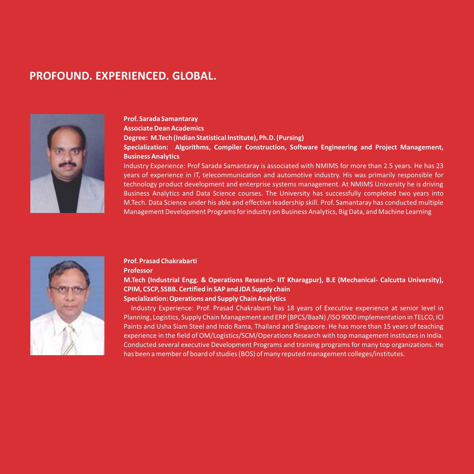#### **PROFOUND. EXPERIENCED. GLOBAL.**



#### **Prof. Sarada Samantaray**

**Associate Dean Academics**

**Degree: M.Tech (Indian Statistical Institute), Ph.D. (Pursing)**

#### **Specialization: Algorithms, Compiler Construction, Software Engineering and Project Management, Business Analytics**

Industry Experience: Prof Sarada Samantaray is associated with NMIMS for more than 2.5 years. He has 23 years of experience in IT, telecommunication and automotive industry. His was primarily responsible for technology product development and enterprise systems management. At NMIMS University he is driving Business Analytics and Data Science courses. The University has successfully completed two years into M.Tech. Data Science under his able and effective leadership skill. Prof. Samantaray has conducted multiple Management Development Programs for industry on Business Analytics, Big Data, and Machine Learning



#### **Prof. Prasad Chakrabarti Professor**

**M.Tech (Industrial Engg. & Operations Research‐ IIT Kharagpur), B.E (Mechanical‐ Calcutta University), CPIM, CSCP, SSBB. Certified in SAP and JDA Supply chain**

#### **Specialization: Operations and Supply Chain Analytics**

Industry Experience: Prof. Prasad Chakrabarti has 18 years of Executive experience at senior level in Planning, Logistics, Supply Chain Management and ERP (BPCS/BaaN) /ISO 9000 implementation in TELCO, ICI Paints and Usha Siam Steel and Indo Rama, Thailand and Singapore. He has more than 15 years of teaching experience in the field of OM/Logistics/SCM/Operations Research with top management institutes in India. Conducted several executive Development Programs and training programs for many top organizations. He has been a member of board of studies (BOS) of many reputed management colleges/institutes.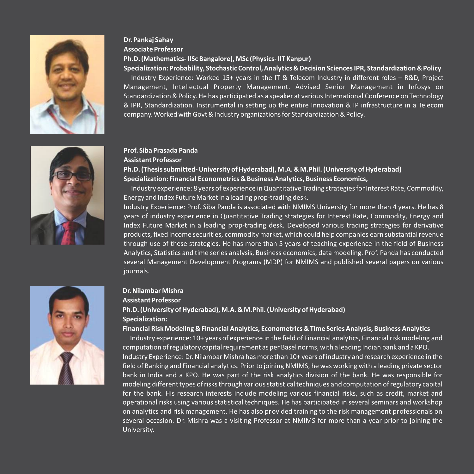

#### **Dr. Pankaj Sahay Associate Professor**

#### **Ph.D. (Mathematics‐ IISc Bangalore), MSc (Physics‐ IIT Kanpur)**

#### **Specialization: Probability, Stochastic Control, Analytics & Decision Sciences IPR, Standardization & Policy**

Industry Experience: Worked 15+ years in the IT & Telecom Industry in different roles – R&D, Project Management, Intellectual Property Management. Advised Senior Management in Infosys on Standardization & Policy. He has participated as a speaker at various International Conference on Technology & IPR, Standardization. Instrumental in setting up the entire Innovation & IP infrastructure in a Telecom company. Worked with Govt & Industry organizations for Standardization & Policy.

#### **Prof. Siba Prasada Panda**

#### **Assistant Professor**

#### **Ph.D. (Thesis submitted‐ University of Hyderabad), M.A. & M.Phil. (University of Hyderabad) Specialization: Financial Econometrics & Business Analytics, Business Economics,**

Industry experience: 8 years of experience in Quantitative Trading strategies for Interest Rate, Commodity, Energy and Index Future Market in a leading prop‐trading desk.

Industry Experience: Prof. Siba Panda is associated with NMIMS University for more than 4 years. He has 8 years of industry experience in Quantitative Trading strategies for Interest Rate, Commodity, Energy and Index Future Market in a leading prop‐trading desk. Developed various trading strategies for derivative products, fixed income securities, commodity market, which could help companies earn substantial revenue through use of these strategies. He has more than 5 years of teaching experience in the field of Business Analytics, Statistics and time series analysis, Business economics, data modeling. Prof. Panda has conducted several Management Development Programs (MDP) for NMIMS and published several papers on various journals.



#### **Dr. Nilambar Mishra**

#### **Assistant Professor Ph.D. (University of Hyderabad), M.A. & M.Phil. (University of Hyderabad) Specialization:**

#### **Financial Risk Modeling & Financial Analytics, Econometrics & Time Series Analysis, Business Analytics**

Industry experience: 10+ years of experience in the field of Financial analytics, Financial risk modeling and computation of regulatory capital requirement as per Basel norms, with a leading Indian bank and a KPO. Industry Experience: Dr. Nilambar Mishra has more than 10+ years of industry and research experience in the field of Banking and Financial analytics. Prior to joining NMIMS, he was working with a leading private sector bank in India and a KPO. He was part of the risk analytics division of the bank. He was responsible for modeling different types of risks through various statistical techniques and computation of regulatory capital for the bank. His research interests include modeling various financial risks, such as credit, market and operational risks using various statistical techniques. He has participated in several seminars and workshop on analytics and risk management. He has also provided training to the risk management professionals on several occasion. Dr. Mishra was a visiting Professor at NMIMS for more than a year prior to joining the University.

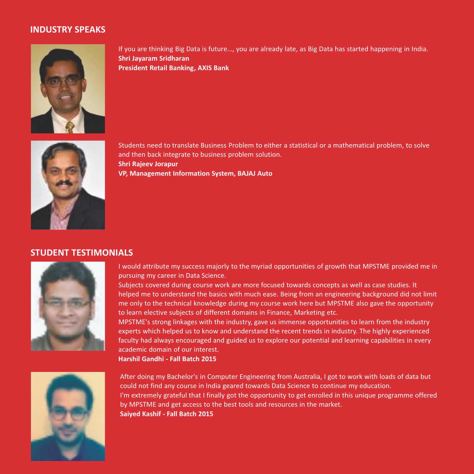#### **INDUSTRY SPEAKS**



If you are thinking Big Data is future…, you are already late, as Big Data has started happening in India. **Shri Jayaram Sridharan President Retail Banking, AXIS Bank**



Students need to translate Business Problem to either a statistical or a mathematical problem, to solve and then back integrate to business problem solution. **Shri Rajeev Jorapur VP, Management Information System, BAJAJ Auto**

#### **STUDENT TESTIMONIALS**



I would attribute my success majorly to the myriad opportunities of growth that MPSTME provided me in pursuing my career in Data Science.

Subjects covered during course work are more focused towards concepts as well as case studies. It helped me to understand the basics with much ease. Being from an engineering background did not limit me only to the technical knowledge during my course work here but MPSTME also gave the opportunity to learn elective subjects of different domains in Finance, Marketing etc.

MPSTME's strong linkages with the industry, gave us immense opportunities to learn from the industry experts which helped us to know and understand the recent trends in industry. The highly experienced faculty had always encouraged and guided us to explore our potential and learning capabilities in every academic domain of our interest.

**Harshil Gandhi ‐ Fall Batch 2015**



After doing my Bachelor's in Computer Engineering from Australia, I got to work with loads of data but could not find any course in India geared towards Data Science to continue my education. I'm extremely grateful that I finally got the opportunity to get enrolled in this unique programme offered by MPSTME and get access to the best tools and resources in the market. **Saiyed Kashif ‐ Fall Batch 2015**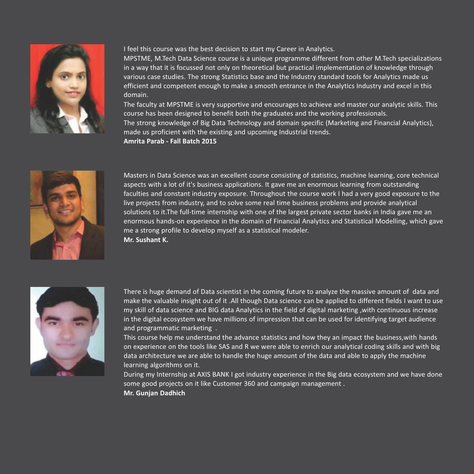

I feel this course was the best decision to start my Career in Analytics.

MPSTME, M.Tech Data Science course is a unique programme different from other M.Tech specializations in a way that it is focussed not only on theoretical but practical implementation of knowledge through various case studies. The strong Statistics base and the Industry standard tools for Analytics made us efficient and competent enough to make a smooth entrance in the Analytics Industry and excel in this domain.

The faculty at MPSTME is very supportive and encourages to achieve and master our analytic skills. This course has been designed to benefit both the graduates and the working professionals.

The strong knowledge of Big Data Technology and domain specific (Marketing and Financial Analytics), made us proficient with the existing and upcoming Industrial trends.

**Amrita Parab ‐ Fall Batch 2015**



Masters in Data Science was an excellent course consisting of statistics, machine learning, core technical aspects with a lot of it's business applications. It gave me an enormous learning from outstanding faculties and constant industry exposure. Throughout the course work I had a very good exposure to the live projects from industry, and to solve some real time business problems and provide analytical solutions to it.The full‐time internship with one of the largest private sector banks in India gave me an enormous hands‐on experience in the domain of Financial Analytics and Statistical Modelling, which gave me a strong profile to develop myself as a statistical modeler. **Mr. Sushant K.**



There is huge demand of Data scientist in the coming future to analyze the massive amount of data and make the valuable insight out of it .All though Data science can be applied to different fields I want to use my skill of data science and BIG data Analytics in the field of digital marketing ,with continuous increase in the digital ecosystem we have millions of impression that can be used for identifying target audience and programmatic marketing .

This course help me understand the advance statistics and how they an impact the business,with hands on experience on the tools like SAS and R we were able to enrich our analytical coding skills and with big data architecture we are able to handle the huge amount of the data and able to apply the machine learning algorithms on it.

During my Internship at AXIS BANK I got industry experience in the Big data ecosystem and we have done some good projects on it like Customer 360 and campaign management .

**Mr. Gunjan Dadhich**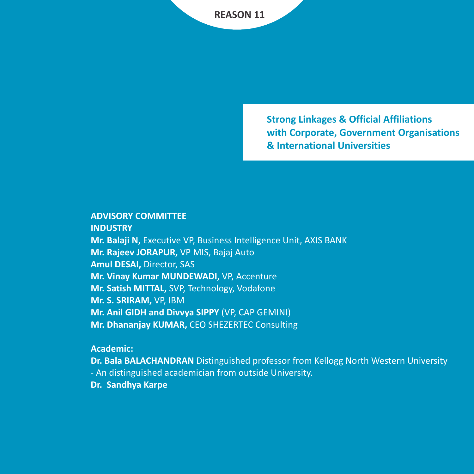**Strong Linkages & Official Affiliations with Corporate, Government Organisations & International Universities**

#### **ADVISORY COMMITTEE**

**INDUSTRY**

**Mr. Balaji N,** Executive VP, Business Intelligence Unit, AXIS BANK **Mr. Rajeev JORAPUR,** VP MIS, Bajaj Auto **Amul DESAI,** Director, SAS **Mr. Vinay Kumar MUNDEWADI,** VP, Accenture **Mr. Satish MITTAL,** SVP, Technology, Vodafone **Mr. S. SRIRAM,** VP, IBM **Mr. Anil GIDH and Divvya SIPPY** (VP, CAP GEMINI) **Mr. Dhananjay KUMAR,** CEO SHEZERTEC Consulting

#### **Academic:**

**Dr. Bala BALACHANDRAN** Distinguished professor from Kellogg North Western University ‐ An distinguished academician from outside University. **Dr. Sandhya Karpe**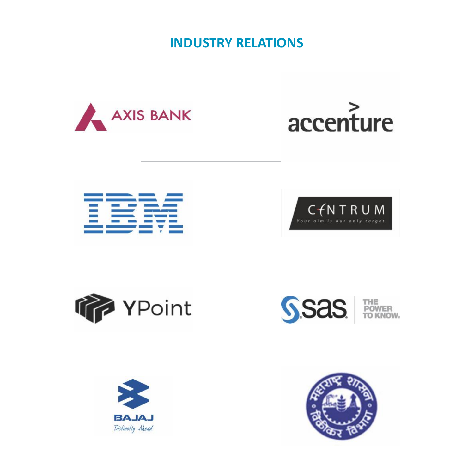### **INDUSTRY RELATIONS**